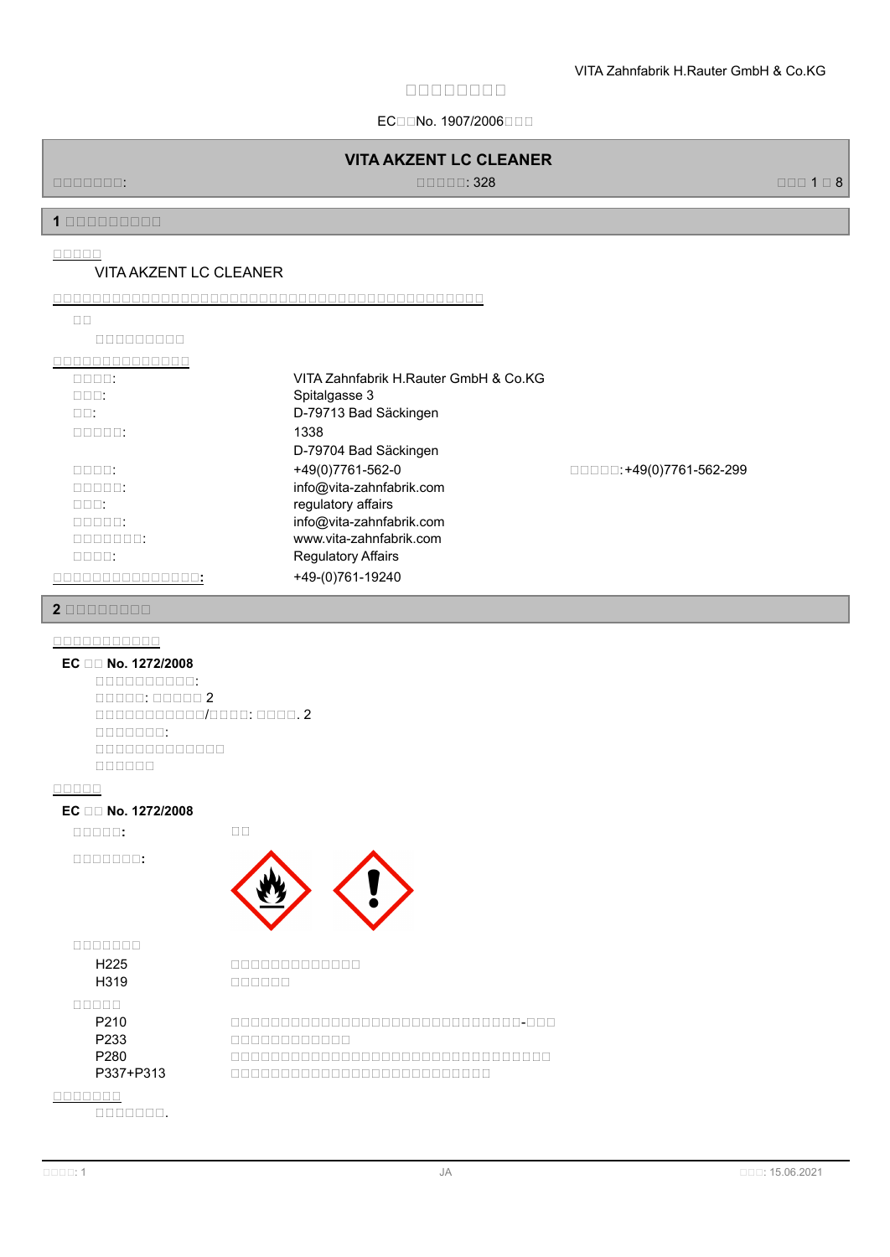ECIENo. 1907/2006

# **VITA AKZENT LC CLEANER**

規規規規規規規: 規規規規規: 328 規規規 1 規 8

**1 安安安安安安安安安**

**安安安安安**

## VITA AKZENT LC CLEANER

#### **安安安安安安安安安安安安安安安安安安安安安安安安安安安安安安安安安安安安安安安安安安安安**

規規規規規規規規規

**安安安安安安安安安安安安安安**

| nnnn:                      | VITA Zahnfabrik H.Rauter GmbH & Co.KG |                                           |
|----------------------------|---------------------------------------|-------------------------------------------|
| nnn:                       | Spitalgasse 3                         |                                           |
| $\Box$ $\Box$              | D-79713 Bad Säckingen                 |                                           |
| $\Box \Box \Box \Box \Box$ | 1338                                  |                                           |
|                            | D-79704 Bad Säckingen                 |                                           |
| nnnn:                      | +49(0)7761-562-0                      | $\Box$ $\Box$ $\Box$ : +49(0)7761-562-299 |
| $\Box \Box \Box \Box \Box$ | info@vita-zahnfabrik.com              |                                           |
| nnn:                       | regulatory affairs                    |                                           |
| $\Box \Box \Box \Box \Box$ | info@vita-zahnfabrik.com              |                                           |
| nnnnnn:                    | www.vita-zahnfabrik.com               |                                           |
| nnnn:                      | <b>Regulatory Affairs</b>             |                                           |
|                            | +49-(0)761-19240                      |                                           |

#### **2 安安安安安安安安**

#### **安安安安安安安安安安安**

### **EC 安安 No. 1272/2008**

規規規規規規規規規規: 規規規規規: 規規規規規 2 規規規規規規規規規規規/規規規規: 規規規規. 2 規規規規規規規: 規規規規規規規規規規規規規 規規規規規規

#### **安安安安安**

### **EC 安安 No. 1272/2008**

**安安安安安:** 規規

**安安安安安安安:**



**安安安安安安安**

H225 and and and all and and all and all and all and all and all and all and all and all and all and all and a H319 **DEBELOR** 

**安安安安安**

P210 規規規規規規規規規規規規規規規規規規規規規規規規規規規規規-規規規 P233 **DECOMBINE R233** P280 Manutang ang panggang panggangan ang pangangang panganggang panggang panggang panggang panggang panggang panggang panggang panggang panggang panggang panggang panggang panggang panggang panggang panggang panggang pang P337+P313 規規規規規規規規規規規規規規規規規規規規規規規規規規

**安安安安安安安**

規規規規規規規.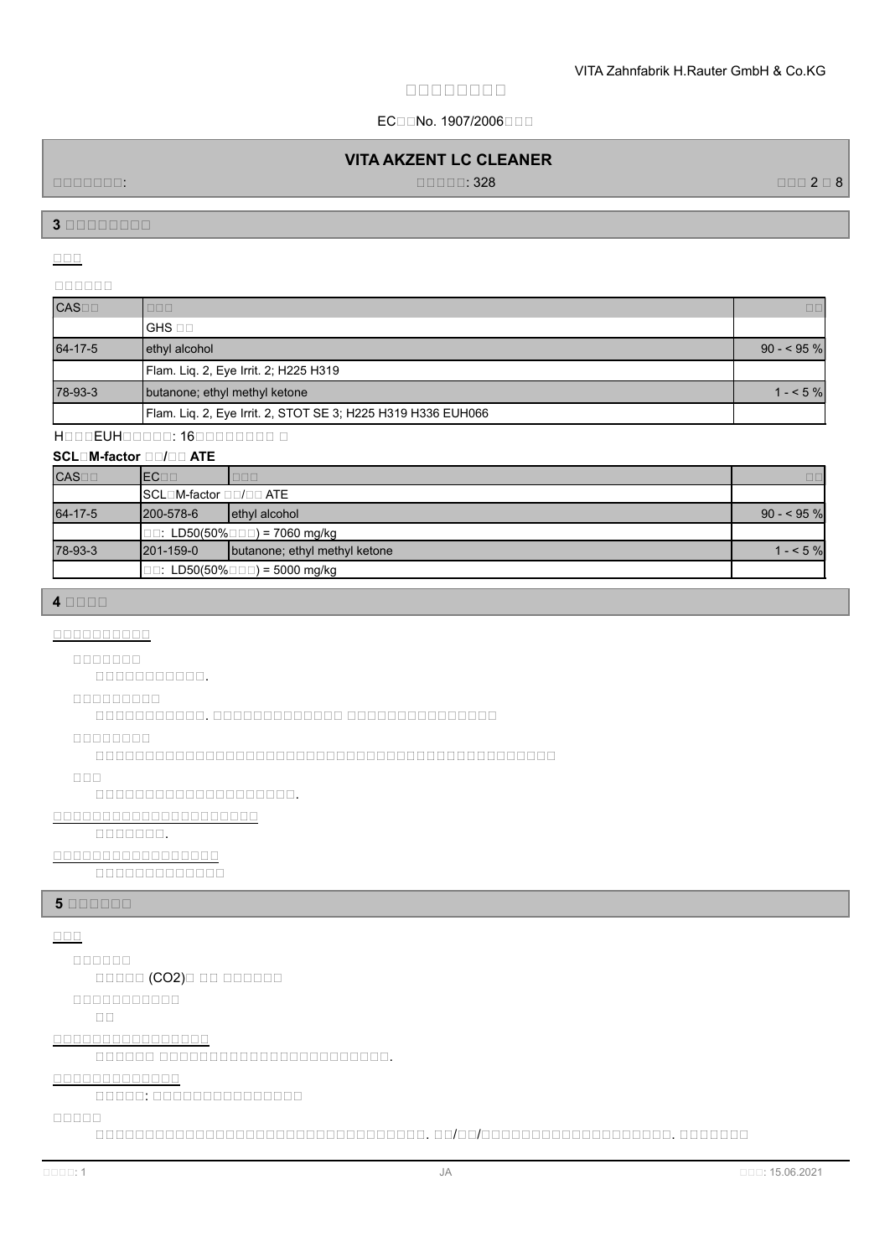## ECIENo. 1907/2006

## **VITA AKZENT LC CLEANER**

規規規規規規規: 規規規規規: 328 規規規 2 規 8

**3 安安安安安安安安**

**安安安**

## **安安安安安安**

| <b>CAS</b> | <b>DDD</b>                                                   | $\Box$      |
|------------|--------------------------------------------------------------|-------------|
|            | lghs ⊡⊟                                                      |             |
| 64-17-5    | ethyl alcohol                                                | $90 - 95\%$ |
|            | Flam. Liq. 2, Eye Irrit. 2; H225 H319                        |             |
| 78-93-3    | butanone; ethyl methyl ketone                                | $1 - 5\%$   |
|            | Flam. Liq. 2, Eye Irrit. 2, STOT SE 3; H225 H319 H336 EUH066 |             |

# HOOOEUHOOOOO: 160000000000

## **SCLOM-factor OD/OD ATE**

| CAS <sub>1</sub> | <b>IECOD</b>           | UUU                                            | 00          |
|------------------|------------------------|------------------------------------------------|-------------|
|                  | SCL□M-factor □□/□□ ATE |                                                |             |
| 64-17-5          | $1200 - 578 - 6$       | lethyl alcohol                                 | $90 - 95$ % |
|                  |                        | $\Box$ : LD50(50% $\Box$ $\Box$ ) = 7060 mg/kg |             |
| 78-93-3          | $1201 - 159 - 0$       | butanone; ethyl methyl ketone                  | $1 - 5\%$   |
|                  |                        | $\Box$ : LD50(50% $\Box$ $\Box$ ) = 5000 mg/kg |             |

### **4 安安安安**

#### **安安安安安安安安安安**

**安安安安安安安**

規規規規規規規規規規規.

#### **安安安安安安安安安**

規規規規規規規規規規規. 規規規規規規規規規規規規規 規規規規規規規規規規規規規規規

#### **安安安安安安安安**

規規規規規規規規規規規規規規規規規規規規規規規規規規規規規規規規規規規規規規規規規規規規規規

#### **安安安**

規規規規規規規規規規規規規規規規規規規規.

### **安安安安安安安安安安安安安安安安安安安安安**

規規規規規規規.

### **安安安安安安安安安安安安安安安安安**

00000000000

### **5 BEBEEF**

## **安安安**

**安安安安安安**

規規規規規 (CO2)規 規規 規規規規規規

#### **安安安安安安安安安安安**

規規

### **安安安安安安安安安安安安安安安安**

規規規規規規 規規規規規規規規規規規規規規規規規規規規規規規.

## **安安安安安安安安安安安安安**

規規規規規: 規規規規規規規規規規規規規規規

#### **安安安安安**

規規規規規規規規規規規規規規規規規規規規規規規規規規規規規規規規規. 規規/規規/規規規規規規規規規規規規規規規規規規規. 規規規規規規規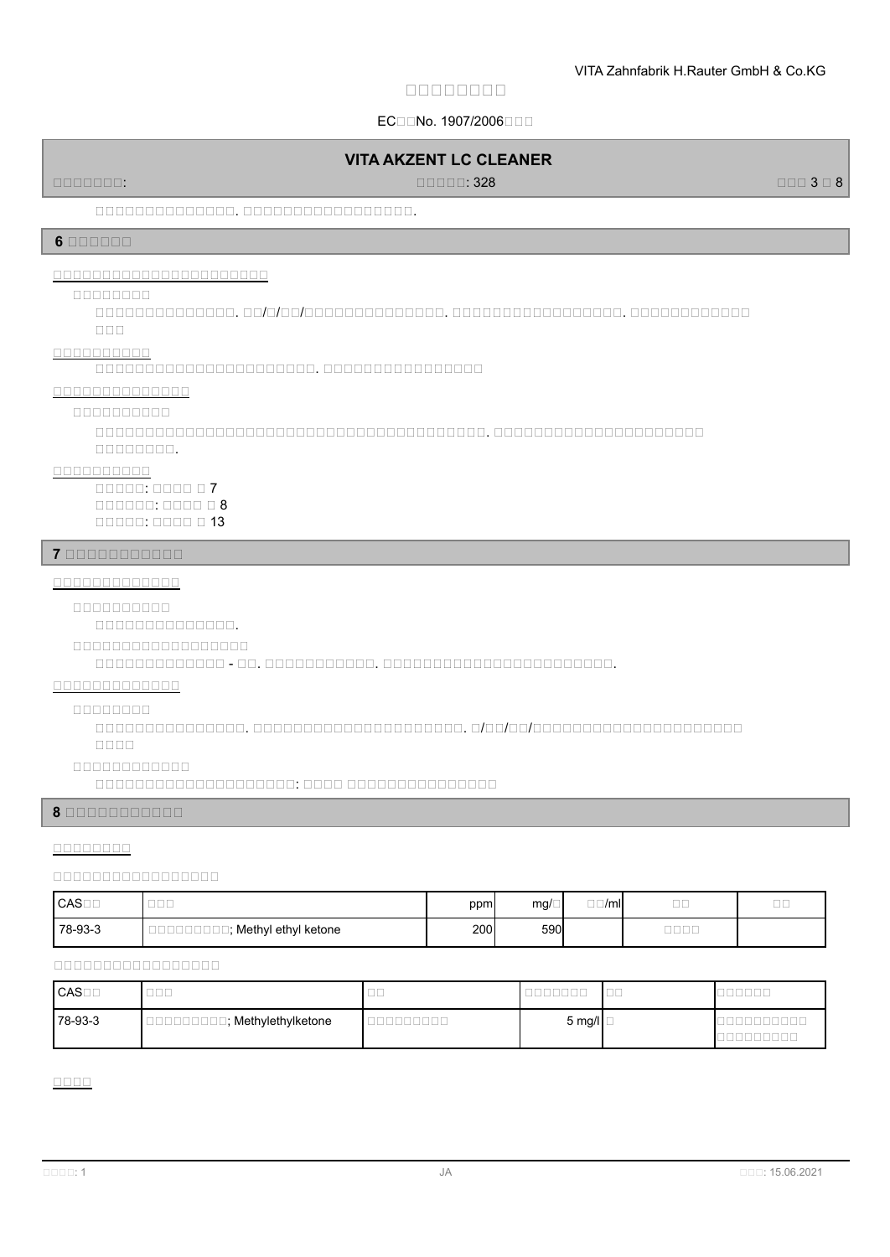## ECIENo. 1907/2006

### **VITA AKZENT LC CLEANER**

規規規規規規規: 規規規規規: 328 規規規 3 規 8

### 規規規規規規規規規規規規規規. 規規規規規規規規規規規規規規規規規.

#### **6 安安安安安安**

## **安安安安安安安安安安安安安安安安安安安安安安**

#### **安安安安安安安安**

規規規規規規規規規規規規規規. 規規/規/規規/規規規規規規規規規規規規規規. 規規規規規規規規規規規規規規規規規. 規規規規規規規規規規規規 規規規

#### **安安安安安安安安安安**

規規規規規規規規規規規規規規規規規規規規規規. 規規規規規規規規規規規規規規規規

#### **安安安安安安安安安安安安安安**

**安安安安安安安安安安**

規規規規規規規規規規規規規規規規規規規規規規規規規規規規規規規規規規規規規規規. 規規規規規規規規規規規規規規規規規規規規規 mananan.

#### **安安安安安安安安安安**

規規規規規: 規規規規 規 7 規規規規規規: 規規規規 規 8 規規規規規: 規規規規 規 13

#### **7 安安安安安安安安安安安**

### **安安安安安安安安安安安安安**

**安安安安安安安安安安**

規規規規規規規規規規規規規規.

#### **【九月八日八日八日八日八日八日八日八日八日八日八日八日八日八日八日**

規規規規規規規規規規規規規 - 規規. 規規規規規規規規規規規. 規規規規規規規規規規規規規規規規規規規規規規規.

## **安安安安安安安安安安安安安**

#### **安安安安安安安安**

規規規規規規規規規規規規規規規. 規規規規規規規規規規規規規規規規規規規規規. 規/規規/規規/規規規規規規規規規規規規規規規規規規規規規 規規規規

#### **安安安安安安安安安安安安**

ananananananananan. anan ananananananan

## **8 安安安安安安安安安安安**

### **安安安安安安安安**

#### **安安安安安安安安安安安安安安安安安**

| ICAS⊟⊟  | $- - -$<br>ساساسا   | ppm | $mg/\Box$ | $- - i$<br>$\square \square / \square$ | $- -$<br>$- -$  | $- -$<br>با ابتا |
|---------|---------------------|-----|-----------|----------------------------------------|-----------------|------------------|
| 78-93-3 | Methyl ethyl ketone | 200 | 590       |                                        | ____<br>_ _ _ _ |                  |

### **安安安安安安安安安安安安安安安安安**

| CAS <sub>0</sub> | $  -$<br>ب ب         | __<br>-- |               | $- -$<br>ب ب |  |
|------------------|----------------------|----------|---------------|--------------|--|
| 78-93-3          | ∃; Methylethylketone |          | 5 mg/l $\Box$ |              |  |

**安安安安**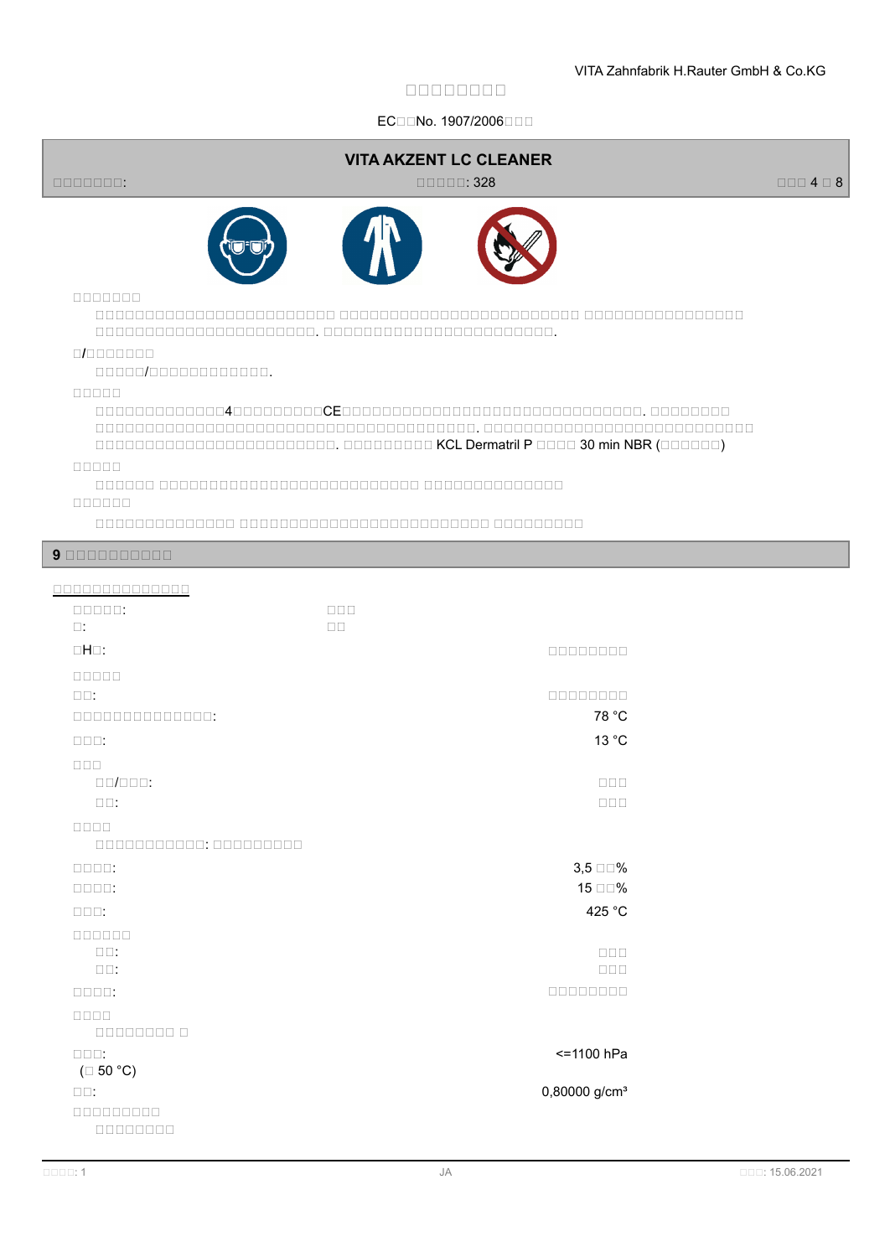## ECIENo. 1907/2006

| 0000000:                                            | <b>VITA AKZENT LC CLEANER</b><br>$\Box \Box \Box \Box \Box$ 328 | $\Box \Box \Box 4 \Box 8$ |
|-----------------------------------------------------|-----------------------------------------------------------------|---------------------------|
|                                                     |                                                                 |                           |
| 0000000<br>0/000000<br>00000/000000000000.<br>88888 |                                                                 |                           |
|                                                     |                                                                 |                           |
| 88888<br>888888                                     |                                                                 |                           |
| 90000000000                                         |                                                                 |                           |
| 00000000000000                                      |                                                                 |                           |
| $\Box \Box \Box \Box \Box$<br>$\Box$ :              | $\Box \Box \Box$<br>$\Box$ Box                                  |                           |
| $\Box H \Box$ :                                     | 00000000                                                        |                           |
| nnnnn<br>$\square\square$ :                         | 00000000                                                        |                           |
| 00000000000000:                                     | 78 °C                                                           |                           |
| $\square\square\square$ :                           | 13 °C                                                           |                           |
| $\Box \Box \Box$                                    |                                                                 |                           |
| $\Box\Box/\Box\Box\Box:$                            | $\Box$ $\Box$                                                   |                           |
| $\square \, \square$ :                              | $\square \, \square \, \square$                                 |                           |
| an an<br>000000000000: 000000000                    |                                                                 |                           |
| $\Box\Box\Box\Box\,$                                | $3,5 \square \square \%$                                        |                           |
| $\Box\Box\Box\Box:$                                 | 15 □□%                                                          |                           |
| $\square\square\square$ :                           | 425 °C                                                          |                           |
| 000000<br>$\square \, \square \colon$               | $\square \, \square \, \square$                                 |                           |
| $\square\square$ :                                  | $\Box$ $\Box$ $\Box$                                            |                           |
| $\Box \Box \Box \Box$                               | 00000000                                                        |                           |
| $\Box \Box \Box \Box$                               |                                                                 |                           |
| $\square \square \square$ :                         | <= 1100 hPa                                                     |                           |
| $(\Box 50 °C)$<br>$\square \square$ :               | 0,80000 g/cm <sup>3</sup>                                       |                           |
| $0000000000$<br>$000000000$                         |                                                                 |                           |
|                                                     |                                                                 |                           |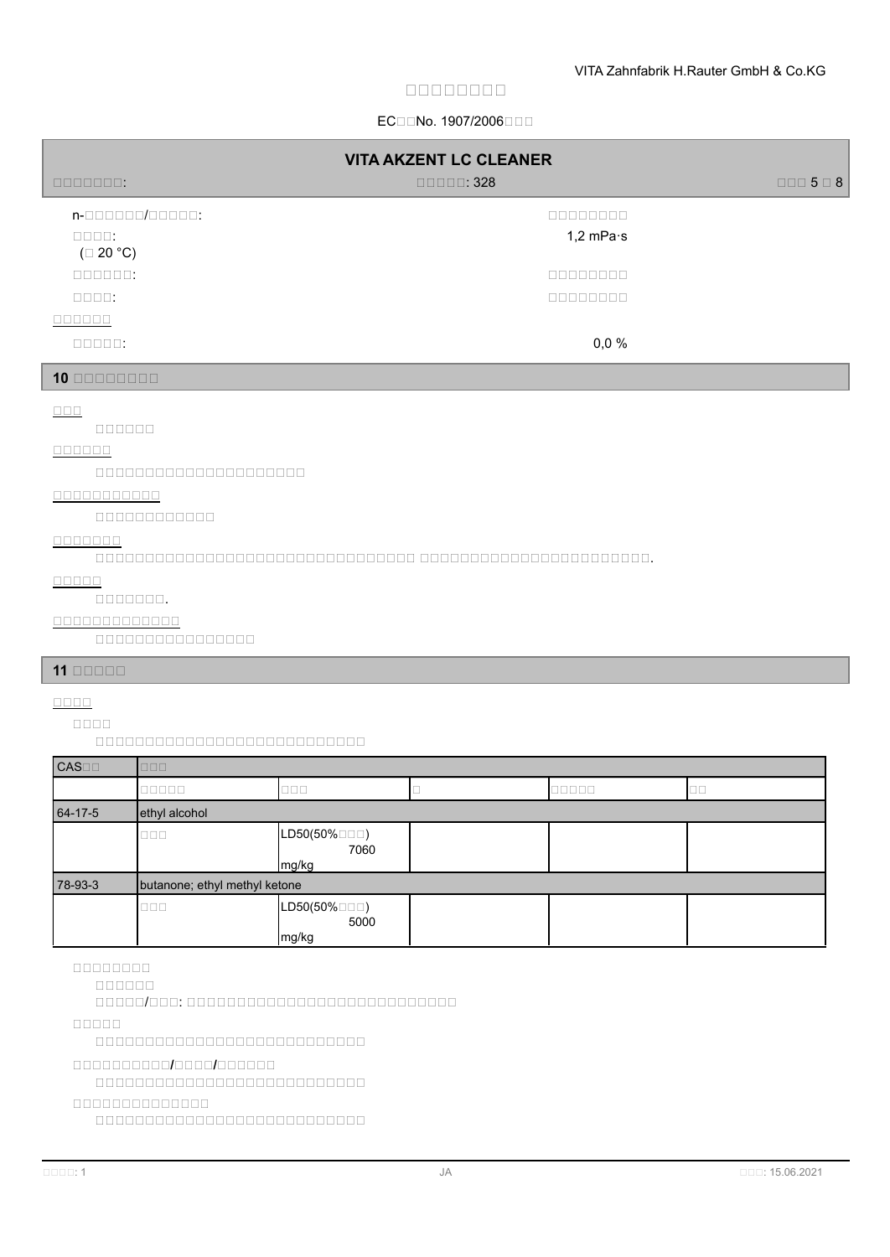## ECIENo. 1907/2006

| <b>VITA AKZENT LC CLEANER</b>   |                                |                           |
|---------------------------------|--------------------------------|---------------------------|
| nnnnnn:                         | $\Box \Box \Box \Box \Box$ 328 | $\Box \Box \Box 5 \Box 8$ |
| n-000000/00000:                 | 00000000                       |                           |
| $\Box\Box\Box\Box\ .$           | 1,2 mPa $\cdot$ s              |                           |
| $(\square 20 °C)$               |                                |                           |
| $\Box \Box \Box \Box \Box \Box$ | nnnnnnn                        |                           |
| $\Box \Box \Box \Box$           | 00000000                       |                           |
| <b>OOOOOO</b>                   |                                |                           |
| $\Box \Box \Box \Box \Box$      | 0,0%                           |                           |
| 10 00000000                     |                                |                           |
| $\Box \Box \Box$                |                                |                           |
| mggggg                          |                                |                           |
| 000000                          |                                |                           |
| 00000000000000000000            |                                |                           |
| 00000000000                     |                                |                           |
| 000000000000                    |                                |                           |
| 0000000                         |                                |                           |
|                                 |                                |                           |

**安安安安安**

## 規規規規規規規.

## **安安安安安安安安安安安安安**

規規規規規規規規規規規規規規規規

# **11 安安安安安**

# **安安安安**

**安安安安**

規規規規規規規規規規規規規規規規規規規規規規規規規規規

| <b>CAS</b> | $\Box \Box \Box$              |                               |  |        |
|------------|-------------------------------|-------------------------------|--|--------|
|            | 00000                         | 000                           |  | $\Box$ |
| 64-17-5    | ethyl alcohol                 |                               |  |        |
|            | $\Box \Box \Box$              | LD50(50%□□□)<br>7060<br>mg/kg |  |        |
| 78-93-3    | butanone; ethyl methyl ketone |                               |  |        |
|            | $\Box \Box \Box$              | LD50(50%□□□)<br>5000<br>mg/kg |  |        |

**安安安安安安安安**

規規規規規規

adaad/aad: adaadaadaadaadaadaadaada

**安安安安安**

規規規規規規規規規規規規規規規規規規規規規規規規規規規

#### **安安安安安安安安安安/安安安安/安安安安安安**

規規規規規規規規規規規規規規規規規規規規規規規規規規規

## **安安安安安安安安安安安安安安**

規規規規規規規規規規規規規規規規規規規規規規規規規規規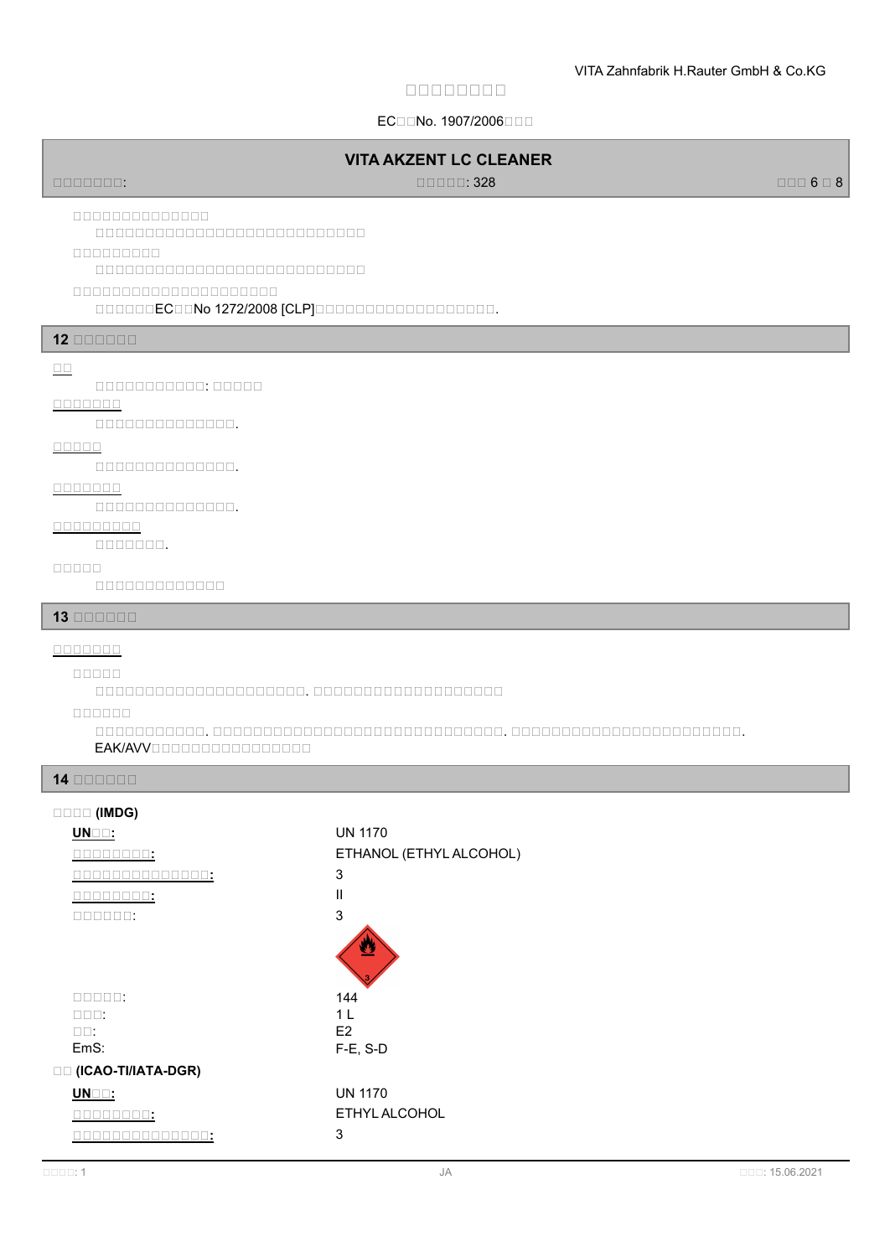## ECIENo. 1907/2006

## **VITA AKZENT LC CLEANER**

規規規規規規規: 規規規規規: 328 規規規 6 規 8

**安安安安安安安安安安安安安安**

# 規規規規規規規規規規規規規規規規規規規規規規規規規規規

**安安安安安安安安安**

規規規規規規規規規規規規規規規規規規規規規規規規規規規

#### **安安安安安安安安安安安安安安安安安安安安安**

規規規規規規EC規規No 1272/2008 [CLP]規規規規規規規規規規規規規規規規規規.

#### **12 安安安安安安**

#### **安安**

規規規規規規規規規規規: 規規規規規

# **安安安安安安安**

規規規規規規規規規規規規規規.

### **安安安安安**

規規規規規規規規規規規規規規.

#### **安安安安安安安**

規規規規規規規規規規規規規規.

### **安安安安安安安安安**

規規規規規規規.

#### **安安安安安**

規規規規規規規規規規規規規

#### **13 安安安安安安**

#### **安安安安安安安**

**安安安安安**

規規規規規規規規規規規規規規規規規規規規規. 規規規規規規規規規規規規規規規規規規規

**安安安安安安**

規規規規規規規規規規規. 規規規規規規規規規規規規規規規規規規規規規規規規規規規規規. 規規規規規規規規規規規規規規規規規規規規規規規. EAK/AVVOODOODODOODOODOO

## **14 安安安安安安**

#### **安安安安 (IMDG)**

| UNOD:                                          | <b>UN 1170</b>          |
|------------------------------------------------|-------------------------|
| uuu:                                           | ETHANOL (ETHYL ALCOHOL) |
| <b>BBBUU:</b><br>Ш<br>$\mathbf{L}$             | 3                       |
| <b>DODD:</b>                                   | Ш                       |
| $\Box \Box \Box \Box \Box$                     | 3                       |
|                                                |                         |
| $\Box \Box \Box \Box \Box$                     | 144                     |
| $\Box$ $\Box$ $\Box$ :                         | 1 <sub>L</sub>          |
| $\square\square$ :                             | E <sub>2</sub>          |
| EmS:                                           | $F-E$ , S-D             |
| □□ (ICAO-TI/IATA-DGR)                          |                         |
| $UN \square$ :                                 | <b>UN 1170</b>          |
| UUU:                                           | ETHYL ALCOHOL           |
| TΤ<br>ш<br>$\mathbf{I}$<br>பப:<br>$\mathbf{L}$ | 3                       |
|                                                |                         |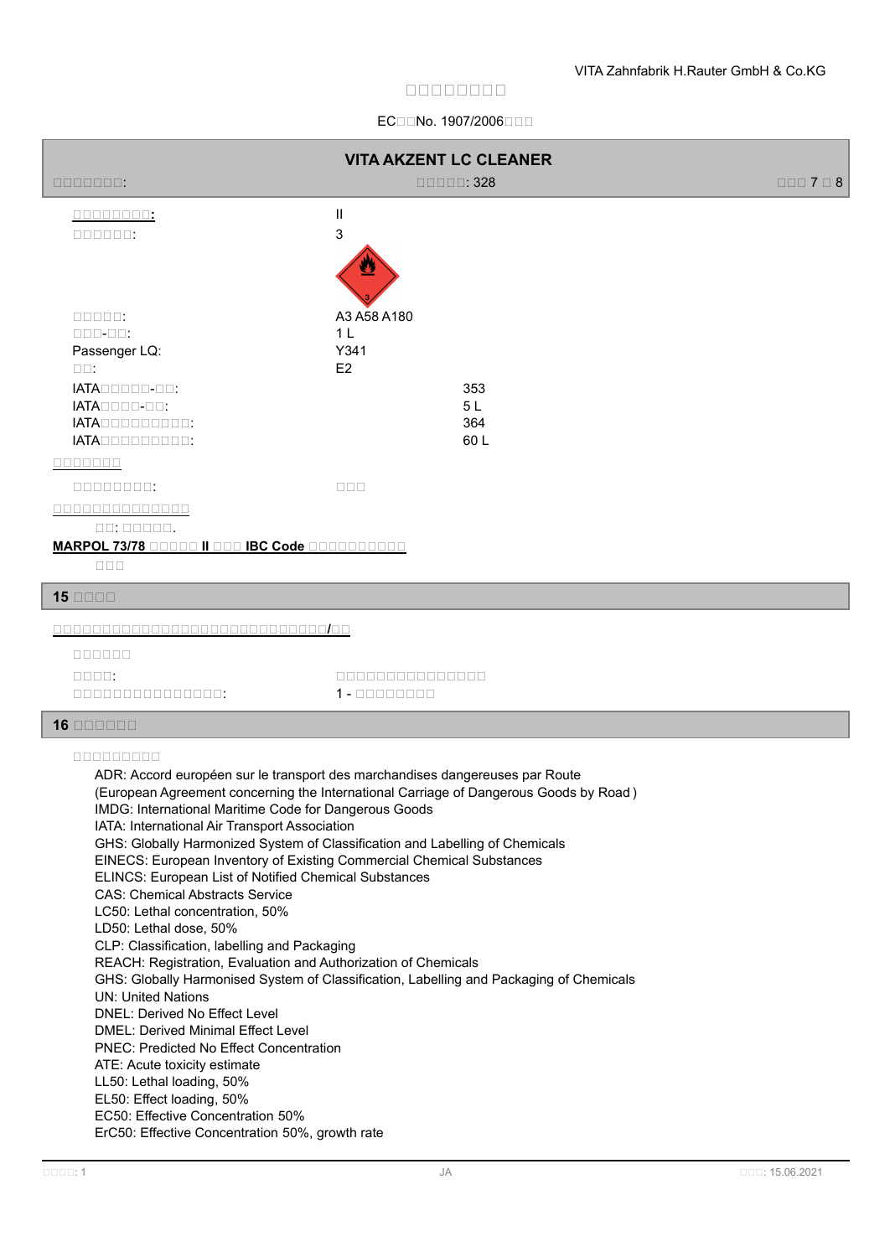## ECIENo. 1907/2006

| <b>VITA AKZENT LC CLEANER</b>                                                                                                                                                                                                                                                                                                                                                                                                                                                                                                                                                                                                                                                                                                                                                                                                       |                                                                                                                                                                                                                                                                                                                                                  |                             |
|-------------------------------------------------------------------------------------------------------------------------------------------------------------------------------------------------------------------------------------------------------------------------------------------------------------------------------------------------------------------------------------------------------------------------------------------------------------------------------------------------------------------------------------------------------------------------------------------------------------------------------------------------------------------------------------------------------------------------------------------------------------------------------------------------------------------------------------|--------------------------------------------------------------------------------------------------------------------------------------------------------------------------------------------------------------------------------------------------------------------------------------------------------------------------------------------------|-----------------------------|
| 0000000:                                                                                                                                                                                                                                                                                                                                                                                                                                                                                                                                                                                                                                                                                                                                                                                                                            | $\Box \Box \Box \Box \Box$ 328                                                                                                                                                                                                                                                                                                                   | $\Box \Box \Box$ 7 $\Box$ 8 |
| 00000000:                                                                                                                                                                                                                                                                                                                                                                                                                                                                                                                                                                                                                                                                                                                                                                                                                           | $\mathbf{H}$                                                                                                                                                                                                                                                                                                                                     |                             |
| $\Box \Box \Box \Box \Box \Box \ .$                                                                                                                                                                                                                                                                                                                                                                                                                                                                                                                                                                                                                                                                                                                                                                                                 | 3                                                                                                                                                                                                                                                                                                                                                |                             |
|                                                                                                                                                                                                                                                                                                                                                                                                                                                                                                                                                                                                                                                                                                                                                                                                                                     |                                                                                                                                                                                                                                                                                                                                                  |                             |
| $\Box \Box \Box \Box \Box$                                                                                                                                                                                                                                                                                                                                                                                                                                                                                                                                                                                                                                                                                                                                                                                                          | A3 A58 A180<br>1 <sub>L</sub>                                                                                                                                                                                                                                                                                                                    |                             |
| $\Box$ $\Box$ $\Box$ $\Box$ $\Box$ :<br>Passenger LQ:                                                                                                                                                                                                                                                                                                                                                                                                                                                                                                                                                                                                                                                                                                                                                                               | Y341                                                                                                                                                                                                                                                                                                                                             |                             |
| $\square\square$ :                                                                                                                                                                                                                                                                                                                                                                                                                                                                                                                                                                                                                                                                                                                                                                                                                  | E2                                                                                                                                                                                                                                                                                                                                               |                             |
| $IATA\square\square\square\square\square\square\square$ :                                                                                                                                                                                                                                                                                                                                                                                                                                                                                                                                                                                                                                                                                                                                                                           | 353                                                                                                                                                                                                                                                                                                                                              |                             |
| $IATA\square\square\square\square\square\square$ :<br>IATADDDDDDDDD:                                                                                                                                                                                                                                                                                                                                                                                                                                                                                                                                                                                                                                                                                                                                                                | 5L<br>364                                                                                                                                                                                                                                                                                                                                        |                             |
| IATADDDDDDDDD:                                                                                                                                                                                                                                                                                                                                                                                                                                                                                                                                                                                                                                                                                                                                                                                                                      | 60L                                                                                                                                                                                                                                                                                                                                              |                             |
| 0000000                                                                                                                                                                                                                                                                                                                                                                                                                                                                                                                                                                                                                                                                                                                                                                                                                             |                                                                                                                                                                                                                                                                                                                                                  |                             |
|                                                                                                                                                                                                                                                                                                                                                                                                                                                                                                                                                                                                                                                                                                                                                                                                                                     | $\Box \Box \Box$                                                                                                                                                                                                                                                                                                                                 |                             |
| 00000000000000                                                                                                                                                                                                                                                                                                                                                                                                                                                                                                                                                                                                                                                                                                                                                                                                                      |                                                                                                                                                                                                                                                                                                                                                  |                             |
| $\Box$ $\Box$ $\Box$ $\Box$ $\Box$ $\Box$ $\Box$ $\Box$ $\Box$ .<br><b>MARPOL 73/78 DODDO II DOO IBC Code DODDOODDOOD</b>                                                                                                                                                                                                                                                                                                                                                                                                                                                                                                                                                                                                                                                                                                           |                                                                                                                                                                                                                                                                                                                                                  |                             |
| $\square \, \square \, \square$                                                                                                                                                                                                                                                                                                                                                                                                                                                                                                                                                                                                                                                                                                                                                                                                     |                                                                                                                                                                                                                                                                                                                                                  |                             |
| $15$ $\Box$                                                                                                                                                                                                                                                                                                                                                                                                                                                                                                                                                                                                                                                                                                                                                                                                                         |                                                                                                                                                                                                                                                                                                                                                  |                             |
|                                                                                                                                                                                                                                                                                                                                                                                                                                                                                                                                                                                                                                                                                                                                                                                                                                     |                                                                                                                                                                                                                                                                                                                                                  |                             |
| $0000000$                                                                                                                                                                                                                                                                                                                                                                                                                                                                                                                                                                                                                                                                                                                                                                                                                           |                                                                                                                                                                                                                                                                                                                                                  |                             |
| $\Box\Box\Box\Box\,$                                                                                                                                                                                                                                                                                                                                                                                                                                                                                                                                                                                                                                                                                                                                                                                                                | 00000000000000                                                                                                                                                                                                                                                                                                                                   |                             |
| 000000000000000:                                                                                                                                                                                                                                                                                                                                                                                                                                                                                                                                                                                                                                                                                                                                                                                                                    | $1 - 00000000$                                                                                                                                                                                                                                                                                                                                   |                             |
| $16$ $\Box$ $\Box$ $\Box$ $\Box$                                                                                                                                                                                                                                                                                                                                                                                                                                                                                                                                                                                                                                                                                                                                                                                                    |                                                                                                                                                                                                                                                                                                                                                  |                             |
| <u>nnnnnnnn</u><br>IMDG: International Maritime Code for Dangerous Goods<br>IATA: International Air Transport Association<br>EINECS: European Inventory of Existing Commercial Chemical Substances<br>ELINCS: European List of Notified Chemical Substances<br><b>CAS: Chemical Abstracts Service</b><br>LC50: Lethal concentration, 50%<br>LD50: Lethal dose, 50%<br>CLP: Classification, labelling and Packaging<br>REACH: Registration, Evaluation and Authorization of Chemicals<br><b>UN: United Nations</b><br>DNEL: Derived No Effect Level<br><b>DMEL: Derived Minimal Effect Level</b><br><b>PNEC: Predicted No Effect Concentration</b><br>ATE: Acute toxicity estimate<br>LL50: Lethal loading, 50%<br>EL50: Effect loading, 50%<br>EC50: Effective Concentration 50%<br>ErC50: Effective Concentration 50%, growth rate | ADR: Accord européen sur le transport des marchandises dangereuses par Route<br>(European Agreement concerning the International Carriage of Dangerous Goods by Road)<br>GHS: Globally Harmonized System of Classification and Labelling of Chemicals<br>GHS: Globally Harmonised System of Classification, Labelling and Packaging of Chemicals |                             |